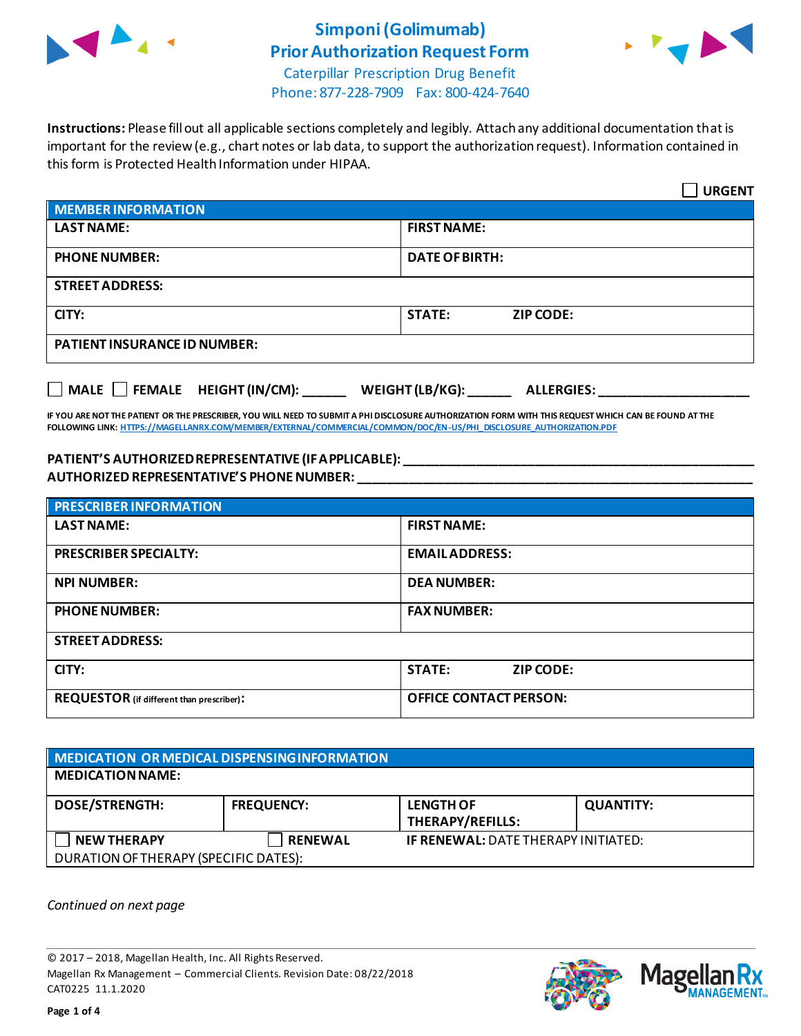

## **Simponi(Golimumab) Prior Authorization Request Form**



Caterpillar Prescription Drug Benefit Phone: 877-228-7909 Fax: 800-424-7640

**Instructions:** Please fill out all applicable sections completely and legibly. Attach any additional documentation that is important for the review (e.g., chart notes or lab data, to support the authorization request). Information contained in this form is Protected Health Information under HIPAA.

|                                           | <b>URGENT</b>                        |
|-------------------------------------------|--------------------------------------|
| <b>MEMBER INFORMATION</b>                 |                                      |
| <b>LAST NAME:</b>                         | <b>FIRST NAME:</b>                   |
| <b>PHONE NUMBER:</b>                      | <b>DATE OF BIRTH:</b>                |
| <b>STREET ADDRESS:</b>                    |                                      |
| CITY:                                     | <b>STATE:</b><br><b>ZIP CODE:</b>    |
| <b>PATIENT INSURANCE ID NUMBER:</b>       |                                      |
| $\Box$ MALE $\Box$ FEMALE HEIGHT (IN/CM): | WEIGHT (LB/KG):<br><b>ALLERGIES:</b> |

**IF YOU ARE NOT THE PATIENT OR THE PRESCRIBER, YOU WILL NEED TO SUBMIT A PHI DISCLOSURE AUTHORIZATION FORM WITH THIS REQUEST WHICH CAN BE FOUND AT THE FOLLOWING LINK[: HTTPS://MAGELLANRX.COM/MEMBER/EXTERNAL/COMMERCIAL/COMMON/DOC/EN-US/PHI\\_DISCLOSURE\\_AUTHORIZATION.PDF](https://magellanrx.com/member/external/commercial/common/doc/en-us/PHI_Disclosure_Authorization.pdf)**

## **PATIENT'S AUTHORIZED REPRESENTATIVE (IF APPLICABLE): \_\_\_\_\_\_\_\_\_\_\_\_\_\_\_\_\_\_\_\_\_\_\_\_\_\_\_\_\_\_\_\_\_\_\_\_\_\_\_\_\_\_\_\_\_\_\_\_\_ AUTHORIZED REPRESENTATIVE'S PHONE NUMBER: \_\_\_\_\_\_\_\_\_\_\_\_\_\_\_\_\_\_\_\_\_\_\_\_\_\_\_\_\_\_\_\_\_\_\_\_\_\_\_\_\_\_\_\_\_\_\_\_\_\_\_\_\_\_\_**

| <b>PRESCRIBER INFORMATION</b>             |                               |
|-------------------------------------------|-------------------------------|
| <b>LAST NAME:</b>                         | <b>FIRST NAME:</b>            |
| <b>PRESCRIBER SPECIALTY:</b>              | <b>EMAIL ADDRESS:</b>         |
| <b>NPI NUMBER:</b>                        | <b>DEA NUMBER:</b>            |
| <b>PHONE NUMBER:</b>                      | <b>FAX NUMBER:</b>            |
| <b>STREET ADDRESS:</b>                    |                               |
| CITY:                                     | <b>STATE:</b><br>ZIP CODE:    |
| REQUESTOR (if different than prescriber): | <b>OFFICE CONTACT PERSON:</b> |

| MEDICATION OR MEDICAL DISPENSING INFORMATION |                   |                                             |                  |  |
|----------------------------------------------|-------------------|---------------------------------------------|------------------|--|
| <b>MEDICATION NAME:</b>                      |                   |                                             |                  |  |
| <b>DOSE/STRENGTH:</b>                        | <b>FREQUENCY:</b> | <b>LENGTH OF</b><br><b>THERAPY/REFILLS:</b> | <b>QUANTITY:</b> |  |
| <b>NEW THERAPY</b>                           | <b>RENEWAL</b>    | <b>IF RENEWAL: DATE THERAPY INITIATED:</b>  |                  |  |
| DURATION OF THERAPY (SPECIFIC DATES):        |                   |                                             |                  |  |

*Continued on next page*

© 2017 – 2018, Magellan Health, Inc. All Rights Reserved. Magellan Rx Management – Commercial Clients. Revision Date: 08/22/2018 CAT0225 11.1.2020



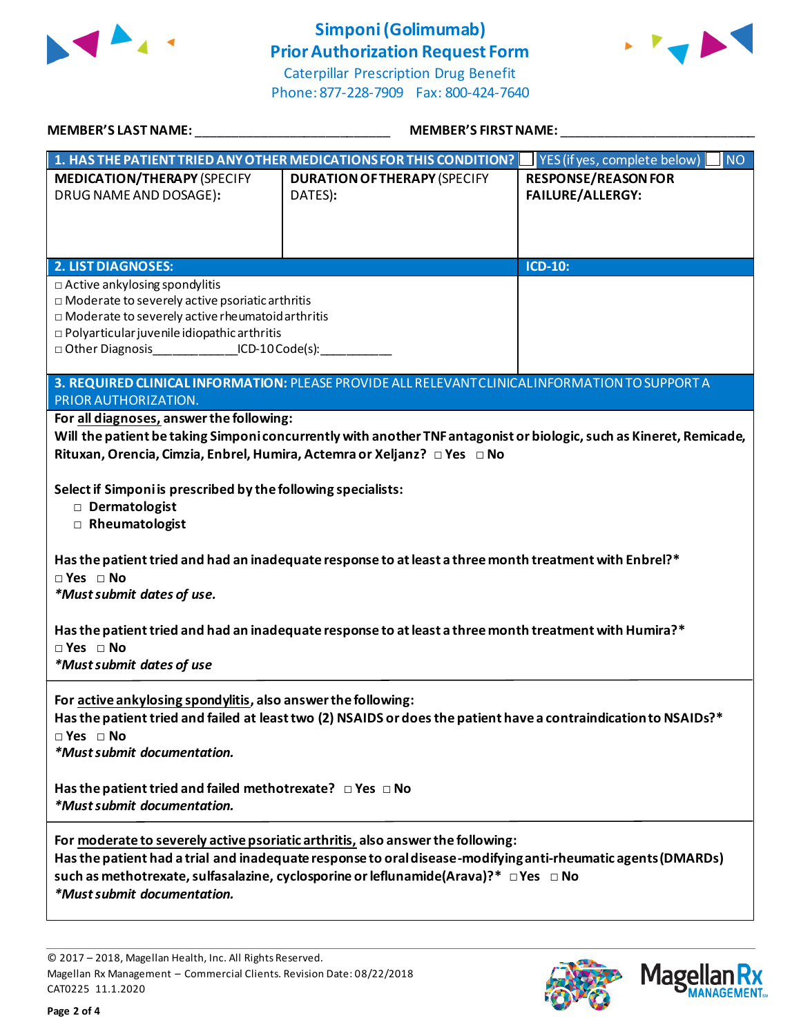

## **Simponi(Golimumab) Prior Authorization Request Form**





| <b>MEMBER'S LAST NAME:</b>                                                                                                                                                                                                                                                                                                          | <b>MEMBER'S FIRST NAME:</b>                                                                                                                                                                                                                                                                                                             |                                                                |
|-------------------------------------------------------------------------------------------------------------------------------------------------------------------------------------------------------------------------------------------------------------------------------------------------------------------------------------|-----------------------------------------------------------------------------------------------------------------------------------------------------------------------------------------------------------------------------------------------------------------------------------------------------------------------------------------|----------------------------------------------------------------|
|                                                                                                                                                                                                                                                                                                                                     | 1. HAS THE PATIENT TRIED ANY OTHER MEDICATIONS FOR THIS CONDITION?                                                                                                                                                                                                                                                                      | NO <sub>1</sub><br>$\blacksquare$ YES (if yes, complete below) |
| <b>MEDICATION/THERAPY (SPECIFY</b><br>DRUG NAME AND DOSAGE):                                                                                                                                                                                                                                                                        | <b>DURATION OF THERAPY (SPECIFY</b><br>DATES):                                                                                                                                                                                                                                                                                          | <b>RESPONSE/REASON FOR</b><br><b>FAILURE/ALLERGY:</b>          |
| <b>2. LIST DIAGNOSES:</b>                                                                                                                                                                                                                                                                                                           |                                                                                                                                                                                                                                                                                                                                         | ICD-10:                                                        |
| □ Active ankylosing spondylitis<br>□ Moderate to severely active psoriatic arthritis<br>$\Box$ Moderate to severely active rheumatoid arthritis<br>$\square$ Polyarticular juvenile idiopathic arthritis<br>□ Other Diagnosis ________________ICD-10 Code(s): ____________                                                          |                                                                                                                                                                                                                                                                                                                                         |                                                                |
| PRIOR AUTHORIZATION.                                                                                                                                                                                                                                                                                                                | 3. REQUIRED CLINICAL INFORMATION: PLEASE PROVIDE ALL RELEVANT CLINICAL INFORMATION TO SUPPORT A                                                                                                                                                                                                                                         |                                                                |
| For all diagnoses, answer the following:<br>Rituxan, Orencia, Cimzia, Enbrel, Humira, Actemra or Xeljanz? □ Yes □ No<br>Select if Simponi is prescribed by the following specialists:<br>Dermatologist<br>Rheumatologist<br>$\Box$ Yes $\Box$ No<br>*Must submit dates of use.<br>$\Box$ Yes $\Box$ No<br>*Must submit dates of use | Will the patient be taking Simponi concurrently with another TNF antagonist or biologic, such as Kineret, Remicade,<br>Has the patient tried and had an inadequate response to at least a three month treatment with Enbrel?*<br>Has the patient tried and had an inadequate response to at least a three month treatment with Humira?* |                                                                |
| For active ankylosing spondylitis, also answer the following:<br>$\Box$ Yes $\Box$ No<br>*Must submit documentation.<br>Has the patient tried and failed methotrexate? $\Box$ Yes $\Box$ No                                                                                                                                         | Has the patient tried and failed at least two (2) NSAIDS or does the patient have a contraindication to NSAIDs?*                                                                                                                                                                                                                        |                                                                |
| *Must submit documentation.                                                                                                                                                                                                                                                                                                         |                                                                                                                                                                                                                                                                                                                                         |                                                                |
| *Must submit documentation.                                                                                                                                                                                                                                                                                                         | For moderate to severely active psoriatic arthritis, also answer the following:<br>Has the patient had a trial and inadequate response to oral disease-modifying anti-rheumatic agents (DMARDs)<br>such as methotrexate, sulfasalazine, cyclosporine or leflunamide(Arava)?* $\Box$ Yes $\Box$ No                                       |                                                                |
|                                                                                                                                                                                                                                                                                                                                     |                                                                                                                                                                                                                                                                                                                                         |                                                                |

© 2017 – 2018, Magellan Health, Inc. All Rights Reserved. Magellan Rx Management – Commercial Clients. Revision Date: 08/22/2018 CAT0225 11.1.2020

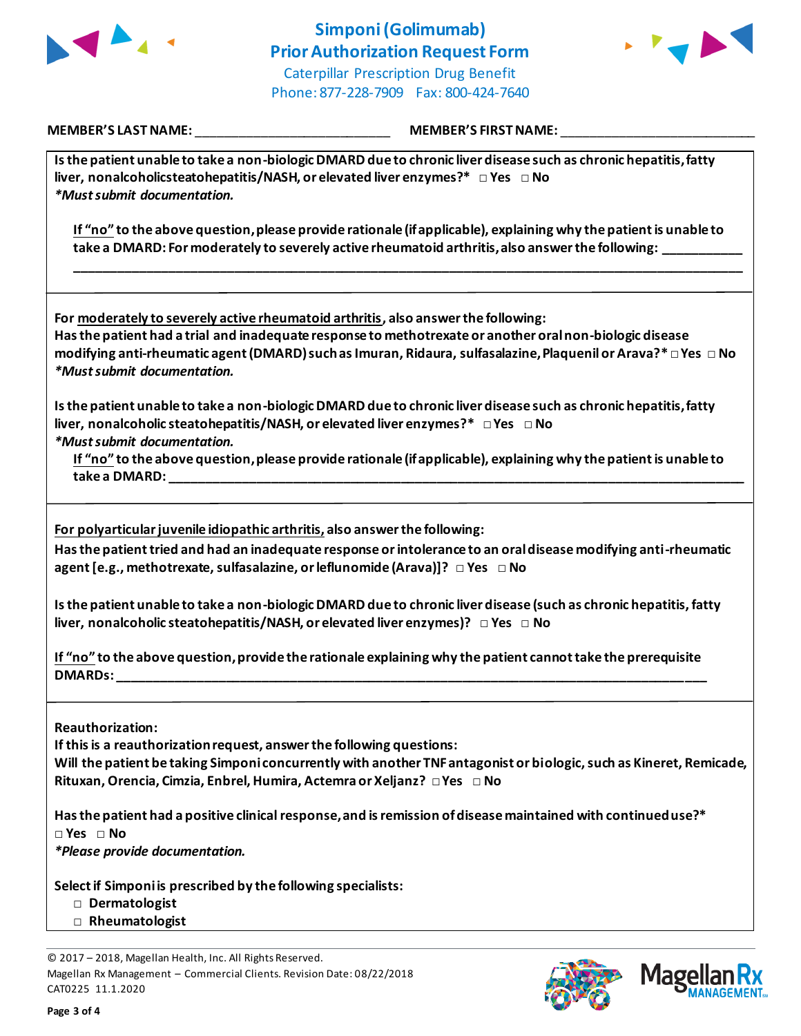



**MEMBER'S LAST NAME:** \_\_\_\_\_\_\_\_\_\_\_\_\_\_\_\_\_\_\_\_\_\_\_\_\_\_\_ **MEMBER'S FIRST NAME:** \_\_\_\_\_\_\_\_\_\_\_\_\_\_\_\_\_\_\_\_\_\_\_\_\_\_\_

| Is the patient unable to take a non-biologic DMARD due to chronic liver disease such as chronic hepatitis, fatty |
|------------------------------------------------------------------------------------------------------------------|
| liver, nonalcoholicsteatohepatitis/NASH, or elevated liver enzymes?* $\Box$ Yes $\Box$ No                        |
| <i>*Must submit documentation.</i>                                                                               |

**If "no" to the above question, please provide rationale (if applicable), explaining why the patient is unable to take a DMARD: For moderately to severely active rheumatoid arthritis, also answer the following: \_\_\_\_\_\_\_\_\_\_\_**

**\_\_\_\_\_\_\_\_\_\_\_\_\_\_\_\_\_\_\_\_\_\_\_\_\_\_\_\_\_\_\_\_\_\_\_\_\_\_\_\_\_\_\_\_\_\_\_\_\_\_\_\_\_\_\_\_\_\_\_\_\_\_\_\_\_\_\_\_\_\_\_\_\_\_\_\_\_\_\_\_\_\_\_\_\_\_\_\_\_\_\_\_\_**

**For moderately to severely active rheumatoid arthritis, also answer the following:**

**Has the patient had a trial and inadequate response to methotrexate or another oral non-biologic disease modifying anti-rheumatic agent (DMARD) such as Imuran, Ridaura, sulfasalazine, Plaquenil or Arava?\* □ Yes □ No** *\*Must submit documentation.*

**Is the patient unable to take a non-biologic DMARD due to chronic liver disease such as chronic hepatitis, fatty liver, nonalcoholic steatohepatitis/NASH, or elevated liver enzymes?\* □ Yes □ No** *\*Must submit documentation.*

**If "no" to the above question, please provide rationale (if applicable), explaining why the patient is unable to take a DMARD: \_\_\_\_\_\_\_\_\_\_\_\_\_\_\_\_\_\_\_\_\_\_\_\_\_\_\_\_\_\_\_\_\_\_\_\_\_\_\_\_\_\_\_\_\_\_\_\_\_\_\_\_\_\_\_\_\_\_\_\_\_\_\_\_\_\_\_\_\_\_\_\_\_\_\_\_\_\_\_\_**

**For polyarticular juvenile idiopathic arthritis, also answer the following:**

**Has the patient tried and had an inadequate response or intolerance to an oral disease modifying anti-rheumatic agent [e.g., methotrexate, sulfasalazine, or leflunomide (Arava)]? □ Yes □ No**

**Is the patient unable to take a non-biologic DMARD due to chronic liver disease (such as chronic hepatitis, fatty liver, nonalcoholic steatohepatitis/NASH, or elevated liver enzymes)? □ Yes □ No**

**If "no" to the above question, provide the rationale explaining why the patient cannot take the prerequisite DMARDs: \_\_\_\_\_\_\_\_\_\_\_\_\_\_\_\_\_\_\_\_\_\_\_\_\_\_\_\_\_\_\_\_\_\_\_\_\_\_\_\_\_\_\_\_\_\_\_\_\_\_\_\_\_\_\_\_\_\_\_\_\_\_\_\_\_\_\_\_\_\_\_\_\_\_\_\_\_\_\_\_\_\_**

**Reauthorization:**

**If this is a reauthorization request, answer the following questions:**

**Will the patient be taking Simponi concurrently with another TNF antagonist or biologic, such as Kineret, Remicade, Rituxan, Orencia, Cimzia, Enbrel, Humira, Actemra or Xeljanz? □ Yes □ No**

**Has the patient had a positive clinical response, and is remission of disease maintained with continued use?\* □ Yes □ No**

*\*Please provide documentation.*

**Select if Simponi is prescribed by the following specialists:**

- **□ Dermatologist**
- **□ Rheumatologist**

© 2017 – 2018, Magellan Health, Inc. All Rights Reserved. Magellan Rx Management – Commercial Clients. Revision Date: 08/22/2018 CAT0225 11.1.2020